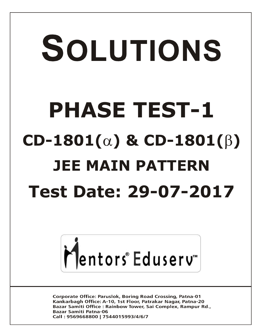# SOLUTIONS **PHASE TEST-1**  $CD-1801(\alpha)$  &  $CD-1801(\beta)$ **JEE MAIN PATTERN Test Date: 29-07-2017**



**Corporate Office: Paruslok, Boring Road Crossing, Patna-01** Kankarbagh Office: A-10, 1st Floor, Patrakar Nagar, Patna-20 Bazar Samiti Office: Rainbow Tower, Sai Complex, Rampur Rd., **Bazar Samiti Patna-06** Call: 9569668800 | 7544015993/4/6/7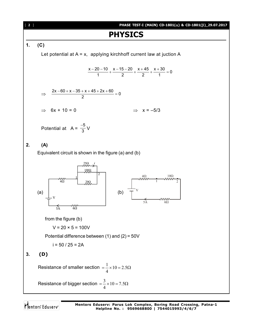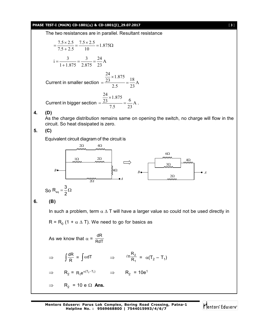### **PHASE TEST-I (MAIN) CD-1801() & CD-1801()\_29.07.2017** [ **3** ]

The two resistances are in parallel. Resultant resistance

$$
= \frac{7.5 \times 2.5}{7.5 + 2.5} = \frac{7.5 \times 2.5}{10} = 1.875 \Omega
$$
  
\n
$$
i = \frac{3}{1 + 1.875} = \frac{3}{2.875} = \frac{24}{23} A
$$
  
\nCurrent in smaller section  $= \frac{\frac{24}{23} \times 1.875}{2.5} = \frac{18}{23} A$   
\nCurrent in bigger section  $= \frac{\frac{24}{23} \times 1.875}{7.5} = \frac{6}{23} A$ .

**4. (D)**

As the charge distribution remains same on opening the switch, no charge will flow in the circuit. So heat dissipated is zero.

**5. (C)**

Equivalent circuit diagram of the circuit is

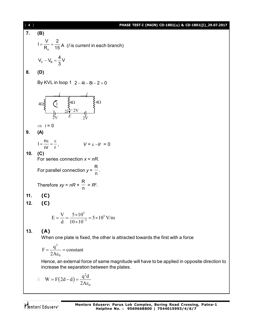[ **4** ] **PHASE TEST-I (MAIN) CD-1801() & CD-1801()\_29.07.2017 7. (B)** e  $I = \frac{V}{R} = \frac{2}{15}$  $=\frac{V}{R_e}=\frac{2}{15}A$  (*I* is current in each branch) C B  $V_{C} - V_{B} = \frac{4}{2}V$ 3  $-V_{\rm B} = -$ **8. (D)** By KVL in loop 1  $2 - 4i - 8i - 2 = 0$  $4\Omega \xi$   $\left\{1 \right.$   $\xi^{4\Omega}$   $\xi^{4\Omega}$ 2V  $2V$   $E$   $2V$ *i i* 2*i* 1  $\Rightarrow$  *i* = 0 **9. (A)**  $I = \frac{n}{n}$ nr r  $V = \frac{\pi}{2} = \frac{\epsilon}{2}$ ,  $V = \epsilon - Ir = 0$ **10. (C)** For series connection *x* = *nR*. For parallel connection *y* = R  $\frac{1}{n}$ . Therefore *xy* = *nR* × R  $\frac{1}{n}$  =  $R^2$ . **11. (C) 12. (C)**  $\frac{3}{2}$  = 5 \s 10<sup>5</sup>  $E = \frac{V}{d} = \frac{5 \times 10^3}{10 \times 10^{-3}} = 5 \times 10^5$  V/m  $d = 10 \times 10^{-7}$  $=\frac{V}{I}=\frac{5\times10^{3}}{10\times10^{-3}}=5\times1$  $\times$ **13. (A)** When one plate is fixed, the other is attracted towards the first with a force 2  $\boldsymbol{0}$  $F = \frac{q^2}{24}$  = constant 2A  $=\frac{9}{24}$  = 0  $\epsilon$ Hence, an external force of same magnitude will have to be applied in opposite direction to increase the separation between the plates.  $\therefore$  W = F(2d-d) 0  $W = F(2d-d) = \frac{q^2d}{2d}$ 2A  $\overline{\mathbf{c}}$  $= F(2d-d) = \epsilon$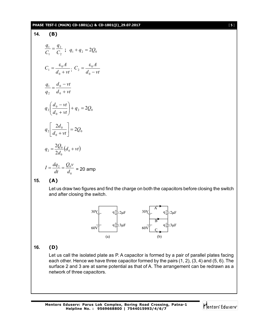### **PHASE TEST-I (MAIN) CD-1801(** $\alpha$ **) & CD-1801(** $\beta$ **)\_29.07.2017** [5]

14. **(B)**  
\n
$$
\frac{q_1}{C_1} = \frac{q_2}{C_2} \; ; \; q_1 + q_2 = 2Q_0
$$
\n
$$
C_1 = \frac{\varepsilon_0 A}{d_0 + vt} \; ; \; C_2 = \frac{\varepsilon_0 A}{d_0 - vt}
$$
\n
$$
\frac{q_1}{q_2} = \frac{d_0 - vt}{d_0 + vt}
$$
\n
$$
q_2 \left( \frac{d_0 - vt}{d_0 + vt} \right) + q_2 = 2Q_0
$$
\n
$$
q_2 \left[ \frac{2d_0}{d_0 + vt} \right] = 2Q_0
$$
\n
$$
q_2 = \frac{2Q_0}{2d_0} (d_0 + vt)
$$
\n
$$
I = \frac{dq_2}{dt} = \frac{Q_0 v}{d_0} = 20 \text{ amp}
$$

**15. (A)**

Let us draw two figures and find the charge on both the capacitors before closing the switch and after closing the switch.



# **16. (D)**

Let us call the isolated plate as P. A capacitor is formed by a pair of parallel plates facing each other. Hence we have three capacitor formed by the pairs (1, 2), (3, 4) and (5, 6). The surface 2 and 3 are at same potential as that of A. The arrangement can be redrawn as a network of three capacitors.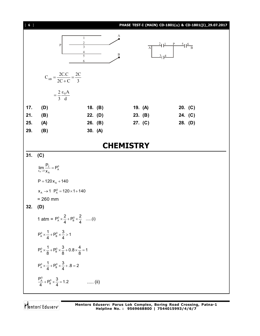| $[ 6 ]$ |                                                                                    |                                                                              |         |  |              |                                                                  | PHASE TEST-I (MAIN) CD-1801( $\alpha$ ) & CD-1801( $\beta$ )_29.07.2017 |  |
|---------|------------------------------------------------------------------------------------|------------------------------------------------------------------------------|---------|--|--------------|------------------------------------------------------------------|-------------------------------------------------------------------------|--|
|         | $\, {\bf p}$                                                                       | $\mathbf{1}$<br>$\overline{2}$<br>$\mathfrak{Z}$<br>$\overline{4}$<br>5<br>6 | А<br>B  |  | $\mathbf{A}$ | $\frac{2}{\frac{1}{\frac{1}{B}}}$ $\frac{P}{B}$<br>$\frac{3}{4}$ |                                                                         |  |
|         | $C_{AB} = \frac{2C.C}{2C+C} = \frac{2C}{3}$                                        |                                                                              |         |  |              |                                                                  |                                                                         |  |
|         | $=\frac{2}{3}\frac{\epsilon_0 A}{d}$                                               |                                                                              |         |  |              |                                                                  |                                                                         |  |
| 17.     | (D)                                                                                |                                                                              | 18. (B) |  | 19. (A)      |                                                                  | 20. (C)                                                                 |  |
| 21.     | (B)                                                                                | 22. (D)                                                                      |         |  | 23. (B)      |                                                                  | 24. (C)                                                                 |  |
| 25.     | (A)                                                                                | 26. (B)                                                                      |         |  | 27. (C)      |                                                                  | 28. (D)                                                                 |  |
| 29.     | (B)                                                                                | 30. (A)                                                                      |         |  |              |                                                                  |                                                                         |  |
|         | <b>CHEMISTRY</b>                                                                   |                                                                              |         |  |              |                                                                  |                                                                         |  |
| 31.     | (C)                                                                                |                                                                              |         |  |              |                                                                  |                                                                         |  |
|         | $\lim_{x_A \to 1} \frac{P_T}{x_A} = P_A^0$<br>$P = 120 x_A + 140$                  |                                                                              |         |  |              |                                                                  |                                                                         |  |
|         | $x_A \rightarrow 1$ P <sub>A</sub> $ = 120 \times 1 + 140$                         |                                                                              |         |  |              |                                                                  |                                                                         |  |
|         | $= 260$ mm                                                                         |                                                                              |         |  |              |                                                                  |                                                                         |  |
| 32.     | (D)                                                                                |                                                                              |         |  |              |                                                                  |                                                                         |  |
|         | 1 atm = $P_A^0 \times \frac{2}{4} + P_B^0 \times \frac{2}{4}$ (i)                  |                                                                              |         |  |              |                                                                  |                                                                         |  |
|         | $P_A^0 \times \frac{1}{4} + P_B^0 \times \frac{3}{4} > 1$                          |                                                                              |         |  |              |                                                                  |                                                                         |  |
|         | $P_A^0 \times \frac{1}{8} + P_B^0 \times \frac{3}{8} + 0.8 \times \frac{4}{8} = 1$ |                                                                              |         |  |              |                                                                  |                                                                         |  |
|         | $P_A^0 \times \frac{1}{4} + P_B^0 \times \frac{3}{4} + .8 = 2$                     |                                                                              |         |  |              |                                                                  |                                                                         |  |
|         | $\frac{P_A^0}{4} + P_B^0 \times \frac{3}{4} = 1.2$                                 | $\ldots$ (ii)                                                                |         |  |              |                                                                  |                                                                         |  |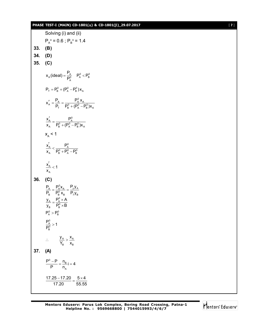# **PHASE TEST-I (MAIN) CD-1801(** $\alpha$ **) & CD-1801(** $\beta$ **)\_29.07.2017** [ **7** ]

|         | Solving (i) and (ii)                                                                          |
|---------|-----------------------------------------------------------------------------------------------|
|         | $P_{A}^{\circ} = 0.6$ ; $P_{B}^{\circ} = 1.4$                                                 |
| 33. (B) |                                                                                               |
| 34. (D) |                                                                                               |
| 35.     | (C)                                                                                           |
|         | $x_A$ (ideal) = $\frac{P_A}{P_A^0}$ $P_A^0$ < $P_B^0$                                         |
|         | $P_T = P_B^0 + (P_A^0 - P_B^0)x_A$                                                            |
|         | $X'_A = \frac{P_A}{P_T} = \frac{P_A^0 X_A}{P_B^0 + (P_A^0 - P_B^0)X_A}$                       |
|         | $\frac{x'_{A}}{x_{A}} = \frac{P_{A}^{0}}{P_{B}^{0} + (P_{A}^{0} - P_{B}^{0})x_{A}}$           |
|         | $x_{\scriptscriptstyle \Delta}$ < 1                                                           |
|         | $\frac{x'_A}{x_A} < \frac{P_A^0}{P_B^0 + P_A^0 - P_B^0}$                                      |
|         | $\frac{\mathbf{x}_A^{'}}{\mathbf{x}_A}$ < 1                                                   |
| 36.     | (C)                                                                                           |
|         | $\frac{P_{A}}{P_{B}} = \frac{P_{A}^{0}x_{A}}{P_{B}^{0}x_{B}} = \frac{P_{y}y_{A}}{P_{7}y_{B}}$ |
|         |                                                                                               |
|         | $\frac{y_A}{y_B} = \frac{P_A^0 \times A}{P_B^0 \times B}$                                     |
|         | $P_{\rm A}^0 > P_{\rm B}^0$                                                                   |
|         |                                                                                               |
|         | $\frac{P_{A}^{0}}{P_{B}^{0}} > 1$                                                             |
|         | $\frac{y_A}{Y_B} > \frac{x_A}{x_B}$<br>$\ddot{\cdot}$                                         |
| 37.     | (A)                                                                                           |
|         | $\frac{P^0 - P}{P} = \frac{n_B}{n_A} i = 4$                                                   |
|         | $\frac{17.25-17.20}{17.20} = \frac{5 \times 4}{55.55}$                                        |

$$
\bigvee_{i=1}^n \text{Centors}^i \text{Eduserv}^i
$$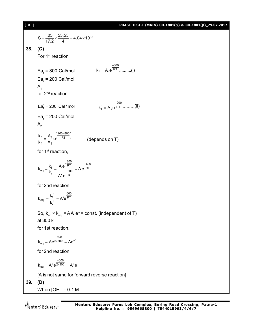**8** ] **PHASE TEST-I (MAIN) CD-1801(** $\alpha$ **) & CD-1801(** $\beta$ **)\_29.07.2017**  $S = \frac{.05}{17.2} \times \frac{55.55}{4} = 4.04 \times 10^{-2}$  $=\frac{.03}{17.8} \times \frac{.000}{14} = 4.04 \times 10^{-7}$ **38. (C)** For 1<sup>st</sup> reaction Ea<sub>f</sub> = 800 Cal/mol 800  $k_f = A_1 e^{RT} \dots (i)$ - $=$ Ea<sub>r</sub> = 200 Cal/mol  $A<sub>1</sub>$ for 2nd reaction  $\text{Ea}_{\text{f}}^{\text{'} } = 200 \text{ Cal/mol}$  $k_1 = A_2 e^{\frac{-200}{RT}}$ - $A_2e^{\overline{RT}}$  .........(ii) Ea<sub>r</sub> = 200 Cal/mol  $A^{\prime}$ 200–800  $\frac{f}{f} = \frac{H_1}{A_2} e^{x}$  RT  $\frac{k_f}{k_f} = \frac{A_1}{A_2}e$  $=\frac{A_1}{\Lambda}e^{\left(\frac{200-800}{RT}\right)}$  (depends on T) for 1<sup>st</sup> reaction,  $_{eq} = \frac{k_f}{k_r} = \frac{Ae^{-\frac{800}{RT}}}{A'_1e^{-\frac{200}{RT}}} = Ae^{\frac{-600}{RT}}$  $k_{eq} = \frac{k_f}{k_r} = \frac{A e^{-RT}}{1.18 \times 10^{-2} \text{m/s}} = Ae^{-\frac{E}{kT}}$  $A'_1e$  $-\frac{1}{RT}$  - $=\frac{R_{\rm f}}{R_{\rm r}}=\frac{780}{1.00}=\frac{200}{25}$ '<br>1 for 2nd reaction, 600  $_{\text{eq}}' = \frac{R_f}{R} = A' e^{RT}$ r  $k_{eq}^{\prime} = \frac{k_f^{\prime}}{4} = A'e^{\prime}$ k  $v' = \frac{k'_f'}{i} = A'$  $\overline{\phantom{a}}$ So,  $\rm{k}_{_{eq}}\times\rm{k}_{_{eq}}$ ' = AA' e $^{\rm{o}}$  = const. (independent of T) at 300 k for 1st reaction,  $k_{eq} = Ae^{\frac{-600}{2 \times 300}} = Ae^{-1}$ = Ae<sup> $\frac{-600}{2 \times 300}$ </sup> = Ae<sup>-</sup> for 2nd reaction, 600  $k_{eq} = A' e^{2 \times 300} = A' e$ - $=$  A'e<sup>2×300</sup> =  $\mu$ [A is not same for forward reverse reaction] **39. (D)** When [OH– ] = 0.1 M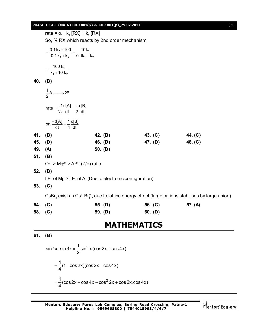## **PHASE TEST-I (MAIN) CD-1801() & CD-1801()\_29.07.2017** [ **9** ]

rate =  $0.1 \text{ k}_1 \text{ [RX]} + \text{ k}_2 \text{ [RX]}$ So, % RX which reacts by 2nd order mechanism  $1^{\times}$  100  $_{-}$  10N<sub>1</sub>  $1 + n_2$  0.  $n_1 + n_2$ 0.1k<sub>1</sub>×100 10k  $0.1 k_1 + k_2$   $0.1 k_1 + k_2$  $=\frac{0.1 k_1 \times 100}{0.1 k_1 + k_2} = \frac{10 k_1}{0.1 k_1 + k_2}$ 1  $1 + 10n_2$ 100 $k_1$  $=\frac{188R_1}{k_1+10 k_2}$ **40. (B)**  $\frac{1}{2}$ A  $\longrightarrow$  2B rate  $= \frac{-1}{\frac{1}{2}} \frac{d[A]}{dt} = \frac{1}{2} \frac{d[B]}{dt}$  $=\frac{-1}{16}$  d[A]  $=$ or,  $\frac{-d[A]}{dt} = \frac{1}{4} \frac{d[B]}{dt}$  $\frac{-d[A]}{dA} =$ **41. (B) 42. (B) 43. (C) 44. (C) 45. (D) 46. (D) 47. (D) 48. (C) 49. (A) 50. (D) 51. (B)**  $O^{2-}$  > Mg<sup>2+</sup> > Al<sup>3+</sup>; (Z/e) ratio. **52. (B)** I.E. of Mg > I.E. of Al (Due to electronic configuration) **53. (C)**  ${\sf CsBr}_3$  exist as Cs $^*$  Br $_3^-$ , due to lattice energy effect (large cations stabilises by large anion) **54. (C) 55. (D) 56. (C) 57. (A) 58. (C) 59. (D) 60. (D) MATHEMATICS 61. (B)**  $\sin^3 x \cdot \sin 3x = \frac{1}{6} \sin^2 x (\cos 2x - \cos 4x)$ 2  $\cdot$  sin 3x =  $\frac{1}{6}$  sin<sup>2</sup> x (cos 2x – o  $\frac{1}{1}$ (1 – cos 2x)(cos 2x – cos 4x) 4  $= -(1 - \cos 2x)(\cos 2x - \cos x)$  $\frac{1}{2}$ (cos 2x – cos 4x – cos $^2$  2x + cos 2x.cos 4x) 4  $=\frac{1}{4}$ (cos 2x – cos 4x – cos <sup>2</sup> 2x + 0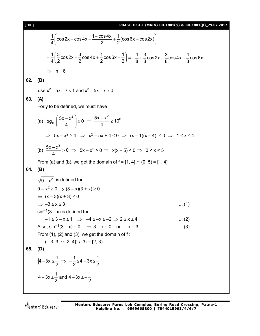$$
=\frac{1}{4}\left(\cos 2x - \cos 4x - \frac{1 + \cos 4x}{2} + \frac{1}{2}(\cos 6x + \cos 2x)\right)
$$
\n
$$
=\frac{1}{4}\left(\frac{3}{2}\cos 2x - \frac{3}{2}\cos 4x + \frac{1}{2}\cos 6x - \frac{1}{2}\right) = -\frac{1}{8} + \frac{3}{8}\cos 2x - \frac{3}{8}\cos 4x + \frac{1}{8}\cos 6x
$$
\n⇒ n = 6  
\n**62.** (B)  
\nuse x<sup>2</sup> - 5x + 7 < 1 and x<sup>2</sup> - 5x + 7 > 0  
\n**63.** (A)  
\nFor y to be defined, we must have  
\n(a)  $log_{10}\left(\frac{5x - x^2}{4}\right) \ge 0 \Rightarrow \frac{5x - x^2}{4} \ge 10^0$   
\n⇒ 5x - x<sup>2</sup> ≥ 4 ⇒ x<sup>2</sup> - 5x + 4 ≤ 0 ⇒ (x - 1)(x - 4) ≤ 0 ⇒ 1 ≤ x ≤ 4  
\n(b)  $\frac{5x - x^2}{4} > 0 \Rightarrow 5x - x^2 > 0 \Rightarrow x(x - 5) < 0 \Rightarrow 0 < x < 5$   
\nFrom (a) and (b), we get the domain of f = [1, 4] ∩ (0, 5) = [1, 4]  
\n**64.** (B)  
\n $\sqrt{9-x^2}$  is defined for  
\n $9-x^2 \ge 0 \Rightarrow (3-x)(3+x) \ge 0$   
\n⇒ (x - 3)(x + 3) ≤ 0  
\n⇒ -3 ≤ x ≤ 3  
\nsin<sup>-1</sup>(3 - x) is defined for  
\n-1 ≤ 3 - x ≤ 1 ⇒ -4 ≤ -x ≤ -2 ⇒ 2 ≤ x ≤ 4  
\nAlso, sin<sup>-1</sup>(3 - x) = 0 ⇒ 3 - x = 0 or x = 3  
\nFrom (1), (2) and (3), we get the domain of f:  
\n([-3, 3] ∩ [2, 4]) | {3} = [2, 3].  
\n**65.** (D)  
\n $|4-3x|\le \frac{1}{2} \Rightarrow -\frac{1}{2} \le 4-3x \le \frac{1}{2}$   
\n4-3x<sup>2</sup>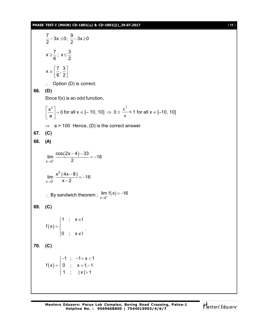### **PHASE TEST-I (MAIN) CD-1801() & CD-1801()\_29.07.2017** [ **11** ]

 $\frac{7}{8}$  – 3x  $\leq$  0;  $\frac{9}{8}$  – 3x  $\geq$  0 2  $2$  $-3x \le 0$ ;  $\frac{3}{2} - 3x \ge 0$  $x \ge \frac{7}{6}$ ;  $x \le \frac{3}{6}$  $6^{\degree}$  2 ≥–; x≤ ·  $x \in \left[\frac{7}{2}, \frac{3}{2}\right]$  $6^{\degree}$  2  $\in \left[\frac{7}{6},\frac{3}{2}\right]$  $\therefore$  Option (D) is correct. **66. (D)** Since f(x) is an odd function,  $\left| \frac{x^2}{2} \right| = 0$ a  $\left|\frac{x^2}{2}\right| =$ [ a ] for all  $x \in [-10, 10] \Rightarrow 0 \le \frac{\pi}{a}$  $x^2$  $<$  1 for all  $x \in [-10, 10]$  $\Rightarrow$  a > 100 Hence, (D) is the correct answer **67. (C) 68. (A)**  $(2x-4)$  $x \rightarrow 2^ \lim \frac{\cos(2x-4)-33}{6} = -16$  $\rightarrow 2^-$  2  $\frac{-4)-33}{2} = -1$ 2  $x \rightarrow 2$  $\lim \frac{x^2 |4x-8|}{2} = -16$  $\rightarrow 2^ x-2$  $\frac{-81}{2} = -1$ - $\therefore$  By sandwich theorem ;  $\lim_{x\to 2^-} f(x)$ lim  $f(x) = -16$  $\rightarrow 2^{-}$  $=-1$ **69. (C)**  $(\mathsf{x})$ 1 ;  $x \in I$  $f(x)$ 0 ;  $x \notin I$  $\begin{bmatrix} 1 \\ \end{bmatrix}$  ;  $x \in$  $=\left\{$  $\begin{pmatrix} 0 & ; & x \end{pmatrix}$  . **70. (C)**  $(\mathsf{x})$ 1 ;  $-1 < x < 1$  $f(x) = \{ 0 ; x = 1, -1$ 1 ;  $|x| > 1$  $\begin{bmatrix} -1 \\ 0 \\ -1 \end{bmatrix}$  = 1< x < 1  $=\begin{cases} 0 & ; \quad x=1,-1 \end{cases}$  $\begin{vmatrix} 1 & ; & |x| \end{vmatrix}$ 

Mentors Eduserv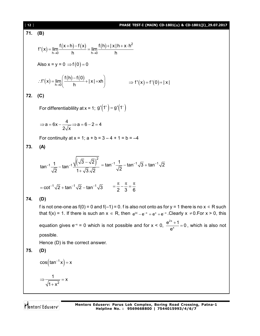PIASE TEST (MAIN) CD-1801(a) & CD-1801(b) 29.07.2017  
\n71. (B)  
\n
$$
f'(x) = \lim_{h\to 0} \frac{f(x+h)-f(x)}{h} = \lim_{h\to 0} \frac{f(h)+|x|h+x+h^2}{h}
$$
  
\nAlso x = y = 0 ⇒ f(0) = 0  
\n $\therefore f'(x) = \lim_{h\to 0} \left(\frac{f(h)-f(0)}{h}+|x|+xh\right)$  ⇒ f'(x) = f'(0)+|x|  
\n72. (C)  
\nFor differentiability at x = 1; g'(1<sup>+</sup>) = g'(1<sup>-</sup>)  
\n $\Rightarrow a = 6x - \frac{4}{2\sqrt{x}} \Rightarrow a = 6 - 2 = 4$   
\nFor continuity at x = 1; a + b = 3 - 4 + 1 = b = -4  
\n73. (A)  
\n $\tan^{-1} \frac{1}{\sqrt{2}} - \tan^{-1} \frac{\sqrt{3\sqrt{3}\sqrt{2}}}{1+\sqrt{3}\sqrt{2}} = \tan^{-1} \frac{1}{\sqrt{2}} - \tan^{-1} \sqrt{3} + \tan^{-1} \sqrt{2}$   
\n $= \cot^{-1} \sqrt{2} + \tan^{-1} \sqrt{2} - \tan^{-1} \sqrt{3} = \frac{\pi}{2} - \frac{\pi}{3} - \frac{\pi}{6}$   
\n74. (D)  
\nIf is not one-one as f(0) = 0 and f(-1) = 0. f is also not onto as for y = 1 there is no x ∈ R such that f(x) = 1. If there is such an x ∈ R, then e<sup>14</sup> – e<sup>-x</sup> = e<sup>4</sup> + e<sup>-x</sup>. Clearly x ≠ 0. For x > 0, this equation gives e<sup>-x</sup> = 0 which is not possible and for x < 0,  $\frac{e^{2x} + 1}{e^{x}} = 0$ , which is also not possible.  
\n75. (D)  
\n $\cos(\tan^{-1} x) = x$   
\n $\Rightarrow \frac{1}{\sqrt{1+x^2}} = x$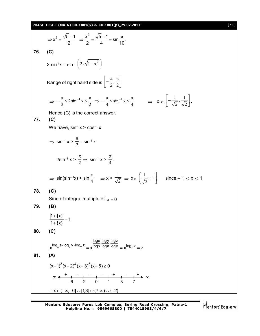# **PHASE TEST-I (MAIN) CD-1801(** $\alpha$ **) & CD-1801(** $\beta$ **)\_29.07.2017** [ **13** ]

$$
\Rightarrow x^2 = \frac{\sqrt{5}-1}{2} \Rightarrow \frac{x^2}{2} = \frac{\sqrt{5}-1}{4} = \sin \frac{\pi}{10}.
$$
  
\n76. (C)  
\n2 sin<sup>-1</sup>x = sin<sup>-1</sup> (2x\sqrt{1-x<sup>2</sup>})  
\nRange of right hand side is  $\left[-\frac{\pi}{2}, \frac{\pi}{2}\right]$   
\n $\Rightarrow -\frac{\pi}{2} \le 2 \sin^{-1} x \le \frac{\pi}{2} \Rightarrow -\frac{\pi}{4} \le \sin^{-1} x \le \frac{\pi}{4} \Rightarrow x \in \left[-\frac{1}{\sqrt{2}}, \frac{1}{\sqrt{2}}\right].$   
\nHence (C) is the correct answer.  
\n77. (C)  
\nWe have, sin<sup>-1</sup>x > cos<sup>-1</sup>x  
\n $\Rightarrow \sin^{-1} x > \frac{\pi}{2} - \sin^{-1} x$   
\n $2 \sin^{-1} x > \frac{\pi}{2} \Rightarrow \sin^{-1} x > \frac{\pi}{4}.$   
\n $\Rightarrow \sin(\sin^{-1} x) > \sin \frac{\pi}{4} \Rightarrow x > \frac{1}{\sqrt{2}} \Rightarrow x \in \left(\frac{1}{\sqrt{2}}, 1\right)$  since -1 ≤ x ≤ 1  
\n78. (C)  
\nSine of integral multiple of  $\pi = 0$   
\n79. (B)  
\n $\left|1 + \{x\}\right| = 1$   
\n80. (C)  
\n $\left| \cos \left| \frac{1 + \{x\}}{1 + \{x\}} \right| = 1$   
\n80. (C)  
\n $\left| \cos \left| \frac{\log a \log y \log z}{1 + \{x\}} \right| \right| = \frac{\log a \log y \log z}{1 + \{x\}} = \frac{1}{x} \log x$   
\n $\Rightarrow \frac{\log a \log y \log z}{1 + \{x\}} = \frac{1}{x} \log x$   
\n $\therefore x \in \left(-\infty, -6\right] \cup \left[\frac{13}{3}\right] \cup \left(7, \infty\right) \cup \left\{-2\right\}$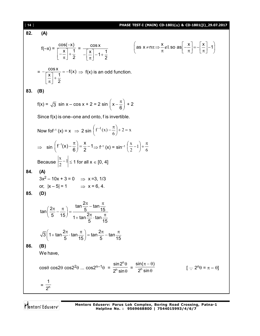| $[14]$ | PHASE TEST-I (MAIN) CD-1801( $\alpha$ ) & CD-1801( $\beta$ )_29.07.2017                                                                                                                                                                                                                          |
|--------|--------------------------------------------------------------------------------------------------------------------------------------------------------------------------------------------------------------------------------------------------------------------------------------------------|
| 82.    | (A)                                                                                                                                                                                                                                                                                              |
|        | $\left(\text{as } x \neq n\pi \Rightarrow \frac{x}{\pi} \notin I, \text{ so as } \left  \frac{x}{\pi} \right  = -\left  \frac{x}{\pi} \right  - 1\right)$<br>$f(-x) = \frac{\cos(-x)}{\left[-\frac{x}{\pi}\right] + \frac{1}{2}} = \frac{\cos x}{-\left[\frac{x}{\pi}\right] - 1 + \frac{1}{2}}$ |
|        | $= -\frac{\cos x}{\sqrt{\frac{x}{x}} + \frac{1}{x}} = -f(x) \Rightarrow f(x)$ is an odd function.                                                                                                                                                                                                |
| 83.    | (B)                                                                                                                                                                                                                                                                                              |
|        | $f(x) = \sqrt{3} \sin x - \cos x + 2 = 2 \sin \left( x - \frac{\pi}{6} \right) + 2$                                                                                                                                                                                                              |
|        | Since $f(x)$ is one-one and onto, f is invertible.                                                                                                                                                                                                                                               |
|        | Now for $f(x) = x \implies 2 \sin \left( f^{-1}(x) - \frac{\pi}{6} \right) + 2 = x$                                                                                                                                                                                                              |
|        | $\Rightarrow \sin\left(f^{-1}(x) - \frac{\pi}{6}\right) = \frac{x}{2} - 1 \Rightarrow f^{-1}(x) = \sin^{-1}\left(\frac{x}{2} - 1\right) + \frac{\pi}{6}$                                                                                                                                         |
|        | Because $\left \frac{x}{2}-1\right  \leq 1$ for all $x \in [0, 4]$                                                                                                                                                                                                                               |
| 84.    | (A)<br>$3x^2 - 10x + 3 = 0$ $\implies$ x =3, 1/3                                                                                                                                                                                                                                                 |
|        | or, $ x-5  = 1$ $\implies$ $x = 6, 4$ .                                                                                                                                                                                                                                                          |
| 85.    | (D)                                                                                                                                                                                                                                                                                              |
|        | $\tan\left(\frac{2\pi}{5} - \frac{\pi}{15}\right) = \frac{\tan\frac{2\pi}{5} - \tan\frac{\pi}{15}}{1 + \tan\frac{2\pi}{5} \cdot \tan\frac{\pi}{15}}$                                                                                                                                             |
|        | $\sqrt{3}\left(1+\tan\frac{2\pi}{5}\cdot\tan\frac{\pi}{15}\right)=\tan\frac{2\pi}{5}-\tan\frac{\pi}{15}$                                                                                                                                                                                         |
| 86.    | (B)                                                                                                                                                                                                                                                                                              |
|        | We have,                                                                                                                                                                                                                                                                                         |
|        | $\cos\theta \cos 2\theta \cos 2^2\theta \dots \cos 2^{n-1}\theta = \frac{\sin 2^n \theta}{2^n \sin \theta} = \frac{\sin(\pi - \theta)}{2^n \sin \theta}$<br>$[\cdot; 2^n \theta = \pi - \theta]$                                                                                                 |
|        | $=\frac{1}{2^n}$                                                                                                                                                                                                                                                                                 |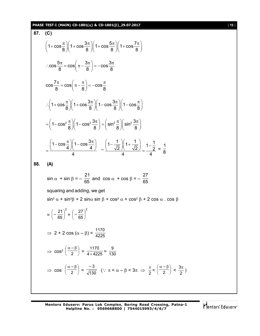## **PHASE TEST-I (MAIN) CD-1801(** $\alpha$ **) & CD-1801(** $\beta$ **)\_29.07.2017** [ **15** ]

87. (C)  
\n
$$
\left(1+\cos\frac{\pi}{8}\right)\left(1+\cos\frac{3\pi}{8}\right)\left(1+\cos\frac{5\pi}{8}\right)\left(1+\cos\frac{7\pi}{8}\right)
$$
\n
$$
\therefore \cos\frac{5\pi}{8} = \cos\left(\pi - \frac{3\pi}{8}\right) = -\cos\frac{3\pi}{8}
$$
\n
$$
\cos\frac{7\pi}{8} = \cos\left(\pi - \frac{\pi}{8}\right) = -\cos\frac{\pi}{8}
$$
\n
$$
\therefore \left(1+\cos\frac{\pi}{8}\right)\left(1+\cos\frac{3\pi}{8}\right)\left(1-\cos\frac{3\pi}{8}\right)\left(1-\cos\frac{\pi}{8}\right)
$$
\n
$$
=\left(1-\cos^2\frac{\pi}{8}\right)\left(1-\cos^2\frac{3\pi}{8}\right) = \left(\sin^2\frac{\pi}{8}\right)\left(\sin^2\frac{3\pi}{8}\right)
$$
\n
$$
=\frac{\left(1-\cos\frac{\pi}{4}\right)\left(1-\cos\frac{3\pi}{4}\right)}{4} = \frac{\left(1-\frac{1}{\sqrt{2}}\right)\left(1+\frac{1}{\sqrt{2}}\right)}{4} = \frac{1-\frac{1}{2}}{4} = \frac{1}{8}
$$
\n88. (A)  
\n
$$
\sin\alpha + \sin\beta = -\frac{21}{65} \text{ and } \cos\alpha + \cos\beta = -\frac{27}{65}
$$
\nsquaring and adding, we get  
\n
$$
\sin^2\alpha + \sin^2\beta + 2 \sin\alpha \sin\beta + \cos^2\alpha + \cos^2\beta + 2 \cos\alpha \cdot \cos\beta
$$
\n
$$
=\left(-\frac{21}{65}\right)^2 + \left(-\frac{27}{65}\right)^2
$$
\n
$$
\Rightarrow 2 + 2 \cos(\alpha - \beta) = \frac{1170}{4225}
$$
\n
$$
\Rightarrow \cos^2\left(\frac{\alpha - \beta}{2}\right) = \frac{1170}{4 \times 4225} = \frac{9}{130}
$$
\n
$$
\Rightarrow \cos\left(\frac{\alpha - \beta}{2}\right) = \frac{-3}{\sqrt{130}} \quad (\because \pi < \alpha - \beta < 3\pi \Rightarrow \frac{\pi
$$